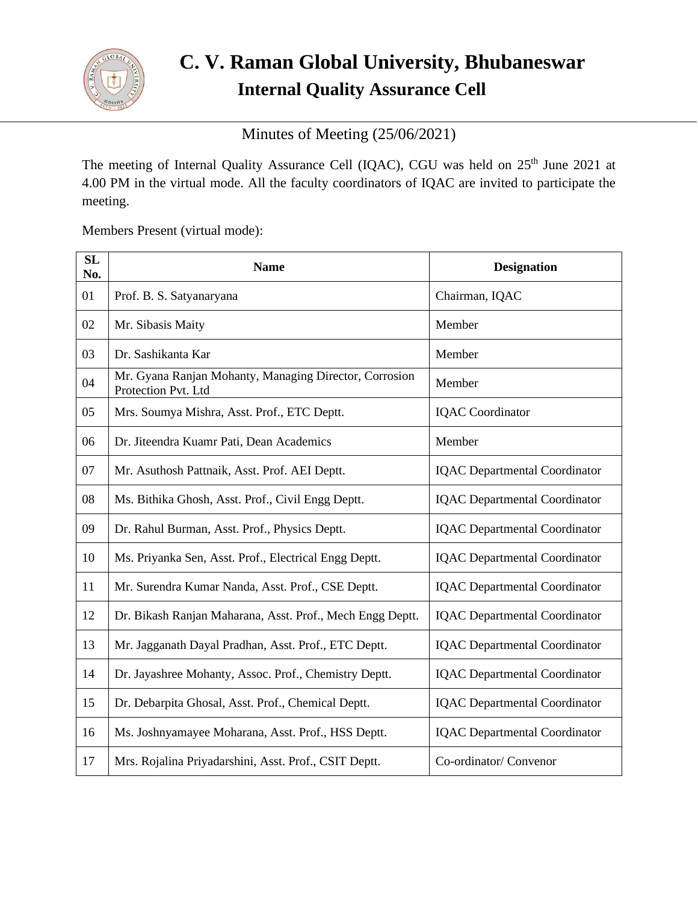

# **C. V. Raman Global University, Bhubaneswar Internal Quality Assurance Cell**

Minutes of Meeting (25/06/2021)

The meeting of Internal Quality Assurance Cell (IQAC), CGU was held on 25<sup>th</sup> June 2021 at 4.00 PM in the virtual mode. All the faculty coordinators of IQAC are invited to participate the meeting.

Members Present (virtual mode):

| SL<br>No. | <b>Name</b>                                                                   | <b>Designation</b>                   |
|-----------|-------------------------------------------------------------------------------|--------------------------------------|
| 01        | Prof. B. S. Satyanaryana                                                      | Chairman, IQAC                       |
| 02        | Mr. Sibasis Maity                                                             | Member                               |
| 03        | Dr. Sashikanta Kar                                                            | Member                               |
| 04        | Mr. Gyana Ranjan Mohanty, Managing Director, Corrosion<br>Protection Pvt. Ltd | Member                               |
| 05        | Mrs. Soumya Mishra, Asst. Prof., ETC Deptt.                                   | <b>IQAC</b> Coordinator              |
| 06        | Dr. Jiteendra Kuamr Pati, Dean Academics                                      | Member                               |
| 07        | Mr. Asuthosh Pattnaik, Asst. Prof. AEI Deptt.                                 | <b>IQAC</b> Departmental Coordinator |
| 08        | Ms. Bithika Ghosh, Asst. Prof., Civil Engg Deptt.                             | <b>IQAC</b> Departmental Coordinator |
| 09        | Dr. Rahul Burman, Asst. Prof., Physics Deptt.                                 | <b>IQAC</b> Departmental Coordinator |
| 10        | Ms. Priyanka Sen, Asst. Prof., Electrical Engg Deptt.                         | <b>IQAC</b> Departmental Coordinator |
| 11        | Mr. Surendra Kumar Nanda, Asst. Prof., CSE Deptt.                             | <b>IQAC</b> Departmental Coordinator |
| 12        | Dr. Bikash Ranjan Maharana, Asst. Prof., Mech Engg Deptt.                     | <b>IQAC</b> Departmental Coordinator |
| 13        | Mr. Jagganath Dayal Pradhan, Asst. Prof., ETC Deptt.                          | <b>IQAC</b> Departmental Coordinator |
| 14        | Dr. Jayashree Mohanty, Assoc. Prof., Chemistry Deptt.                         | <b>IQAC</b> Departmental Coordinator |
| 15        | Dr. Debarpita Ghosal, Asst. Prof., Chemical Deptt.                            | <b>IQAC</b> Departmental Coordinator |
| 16        | Ms. Joshnyamayee Moharana, Asst. Prof., HSS Deptt.                            | <b>IQAC</b> Departmental Coordinator |
| 17        | Mrs. Rojalina Priyadarshini, Asst. Prof., CSIT Deptt.                         | Co-ordinator/ Convenor               |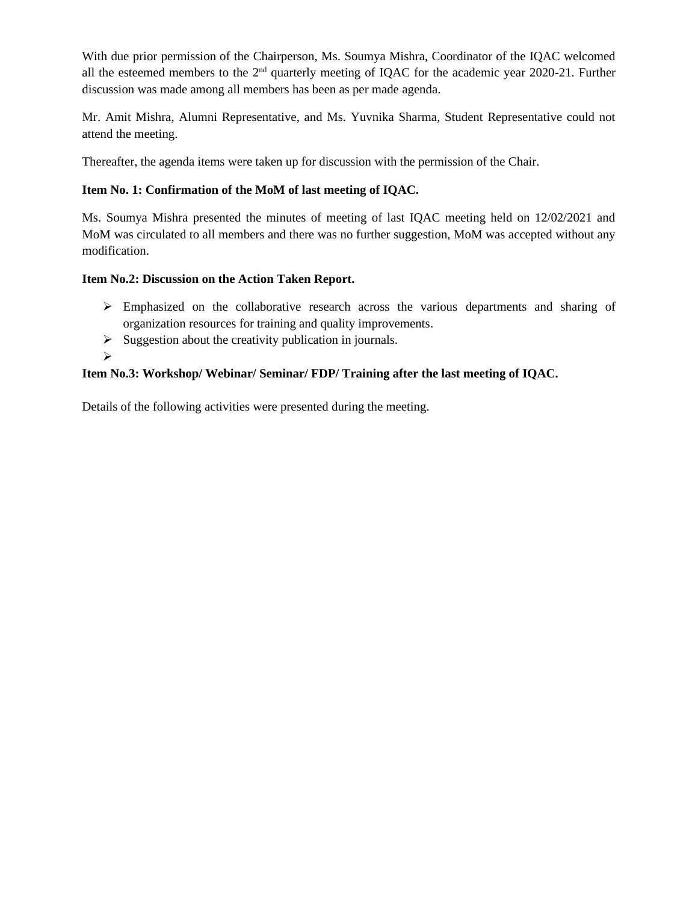With due prior permission of the Chairperson, Ms. Soumya Mishra, Coordinator of the IQAC welcomed all the esteemed members to the  $2<sup>nd</sup>$  quarterly meeting of IQAC for the academic year 2020-21. Further discussion was made among all members has been as per made agenda.

Mr. Amit Mishra, Alumni Representative, and Ms. Yuvnika Sharma, Student Representative could not attend the meeting.

Thereafter, the agenda items were taken up for discussion with the permission of the Chair.

### **Item No. 1: Confirmation of the MoM of last meeting of IQAC.**

Ms. Soumya Mishra presented the minutes of meeting of last IQAC meeting held on 12/02/2021 and MoM was circulated to all members and there was no further suggestion, MoM was accepted without any modification.

### **Item No.2: Discussion on the Action Taken Report.**

- ➢ Emphasized on the collaborative research across the various departments and sharing of organization resources for training and quality improvements.
- $\triangleright$  Suggestion about the creativity publication in journals.
- ➢

## **Item No.3: Workshop/ Webinar/ Seminar/ FDP/ Training after the last meeting of IQAC.**

Details of the following activities were presented during the meeting.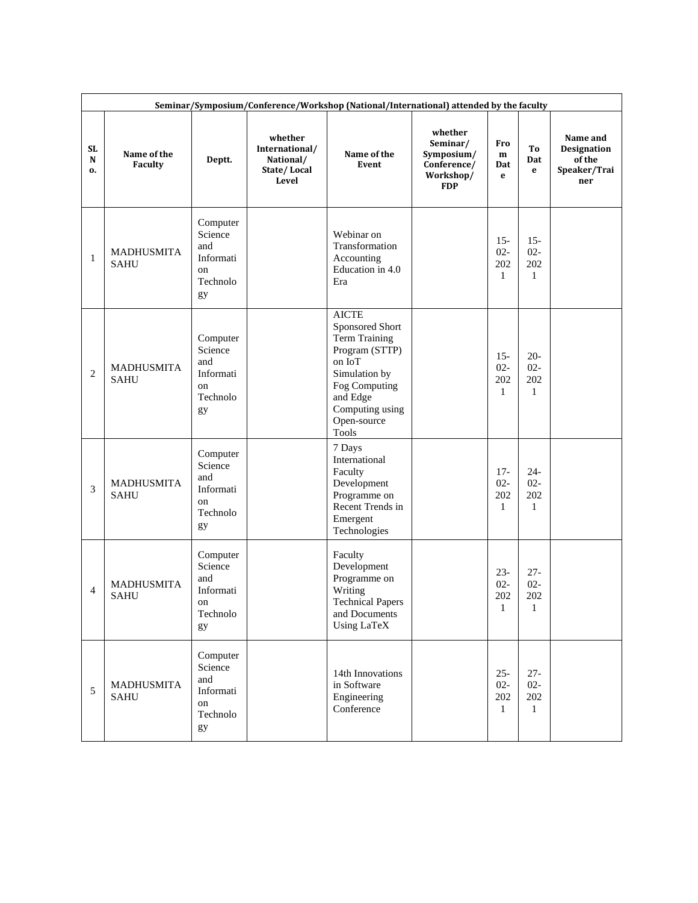|                | Seminar/Symposium/Conference/Workshop (National/International) attended by the faculty |                                                                 |                                                                |                                                                                                                                                                                     |                                                                             |                                         |                                         |                                                          |  |  |  |  |
|----------------|----------------------------------------------------------------------------------------|-----------------------------------------------------------------|----------------------------------------------------------------|-------------------------------------------------------------------------------------------------------------------------------------------------------------------------------------|-----------------------------------------------------------------------------|-----------------------------------------|-----------------------------------------|----------------------------------------------------------|--|--|--|--|
| SL.<br>N<br>o. | Name of the<br><b>Faculty</b>                                                          | Deptt.                                                          | whether<br>International/<br>National/<br>State/Local<br>Level | Name of the<br>Event                                                                                                                                                                | whether<br>Seminar/<br>Symposium/<br>Conference/<br>Workshop/<br><b>FDP</b> | Fro<br>m<br>Dat<br>e                    | To<br>Dat<br>e                          | Name and<br>Designation<br>of the<br>Speaker/Trai<br>ner |  |  |  |  |
| $\mathbf{1}$   | <b>MADHUSMITA</b><br><b>SAHU</b>                                                       | Computer<br>Science<br>and<br>Informati<br>on<br>Technolo<br>gy |                                                                | Webinar on<br>Transformation<br>Accounting<br>Education in 4.0<br>Era                                                                                                               |                                                                             | $15 -$<br>$02 -$<br>202<br>$\mathbf{1}$ | $15 -$<br>$02 -$<br>202<br>$\mathbf{1}$ |                                                          |  |  |  |  |
| $\overline{c}$ | MADHUSMITA<br><b>SAHU</b>                                                              | Computer<br>Science<br>and<br>Informati<br>on<br>Technolo<br>gy |                                                                | <b>AICTE</b><br>Sponsored Short<br><b>Term Training</b><br>Program (STTP)<br>on IoT<br>Simulation by<br>Fog Computing<br>and Edge<br>Computing using<br>Open-source<br><b>Tools</b> |                                                                             | $15 -$<br>$02 -$<br>202<br>$\mathbf{1}$ | $20 -$<br>$02 -$<br>202<br>$\mathbf{1}$ |                                                          |  |  |  |  |
| 3              | MADHUSMITA<br><b>SAHU</b>                                                              | Computer<br>Science<br>and<br>Informati<br>on<br>Technolo<br>gy |                                                                | 7 Days<br>International<br>Faculty<br>Development<br>Programme on<br>Recent Trends in<br>Emergent<br>Technologies                                                                   |                                                                             | $17 -$<br>$02 -$<br>202<br>$\mathbf{1}$ | $24 -$<br>$02 -$<br>202<br>$\mathbf{1}$ |                                                          |  |  |  |  |
| $\overline{4}$ | <b>MADHUSMITA</b><br><b>SAHU</b>                                                       | Computer<br>Science<br>and<br>Informati<br>on<br>Technolo<br>gy |                                                                | Faculty<br>Development<br>Programme on<br>Writing<br><b>Technical Papers</b><br>and Documents<br><b>Using LaTeX</b>                                                                 |                                                                             | $23 -$<br>$02 -$<br>202<br>1            | $27 -$<br>$02 -$<br>202<br>1            |                                                          |  |  |  |  |
| 5              | <b>MADHUSMITA</b><br><b>SAHU</b>                                                       | Computer<br>Science<br>and<br>Informati<br>on<br>Technolo<br>gy |                                                                | 14th Innovations<br>in Software<br>Engineering<br>Conference                                                                                                                        |                                                                             | $25 -$<br>$02 -$<br>202<br>1            | $27 -$<br>$02 -$<br>202<br>$\mathbf{1}$ |                                                          |  |  |  |  |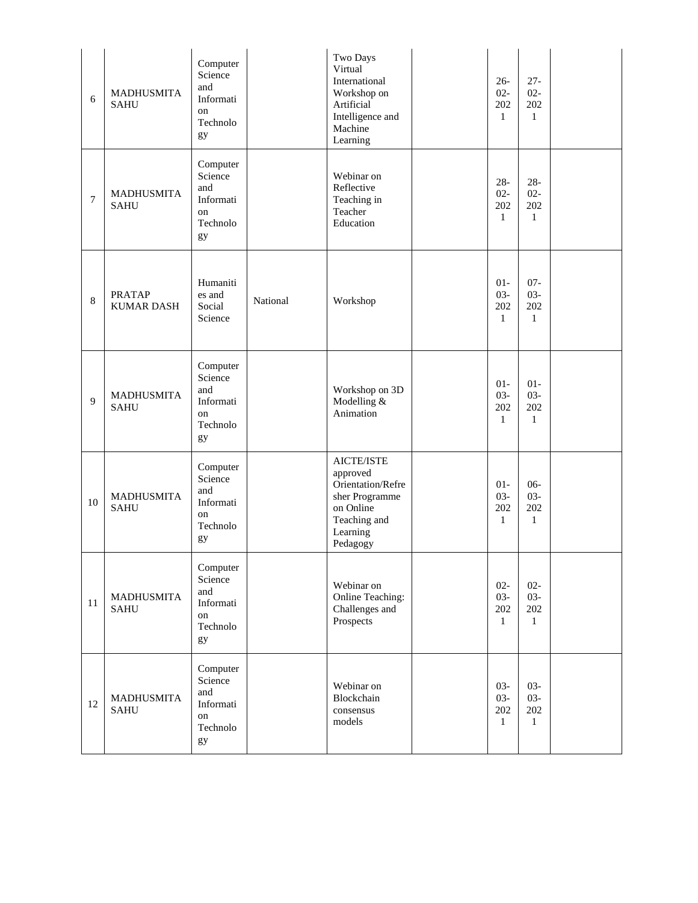| 6              | <b>MADHUSMITA</b><br><b>SAHU</b>   | Computer<br>Science<br>and<br>Informati<br>on<br>Technolo<br>gy |          | Two Days<br>Virtual<br>International<br>Workshop on<br>Artificial<br>Intelligence and<br>Machine<br>Learning       | $26 -$<br>$02 -$<br>202<br>$\mathbf{1}$ | $27 -$<br>$02 -$<br>202<br>$\mathbf{1}$ |  |
|----------------|------------------------------------|-----------------------------------------------------------------|----------|--------------------------------------------------------------------------------------------------------------------|-----------------------------------------|-----------------------------------------|--|
| $\overline{7}$ | <b>MADHUSMITA</b><br><b>SAHU</b>   | Computer<br>Science<br>and<br>Informati<br>on<br>Technolo<br>gy |          | Webinar on<br>Reflective<br>Teaching in<br>Teacher<br>Education                                                    | $28 -$<br>$02 -$<br>202<br>$\mathbf{1}$ | $28 -$<br>$02 -$<br>202<br>$\mathbf{1}$ |  |
| 8              | <b>PRATAP</b><br><b>KUMAR DASH</b> | Humaniti<br>es and<br>Social<br>Science                         | National | Workshop                                                                                                           | $01 -$<br>$03 -$<br>202<br>$\mathbf{1}$ | $07 -$<br>$03 -$<br>202<br>$\mathbf{1}$ |  |
| 9              | MADHUSMITA<br><b>SAHU</b>          | Computer<br>Science<br>and<br>Informati<br>on<br>Technolo<br>gy |          | Workshop on 3D<br>Modelling &<br>Animation                                                                         | $01 -$<br>$03 -$<br>202<br>$\mathbf{1}$ | $01 -$<br>$03 -$<br>202<br>$\mathbf{1}$ |  |
| $10\,$         | <b>MADHUSMITA</b><br><b>SAHU</b>   | Computer<br>Science<br>and<br>Informati<br>on<br>Technolo<br>gy |          | AICTE/ISTE<br>approved<br>Orientation/Refre<br>sher Programme<br>on Online<br>Teaching and<br>Learning<br>Pedagogy | $01 -$<br>$03 -$<br>202<br>$\mathbf{1}$ | $06 -$<br>$03 -$<br>202<br>$\mathbf{1}$ |  |
| 11             | MADHUSMITA<br><b>SAHU</b>          | Computer<br>Science<br>and<br>Informati<br>on<br>Technolo<br>gy |          | Webinar on<br>Online Teaching:<br>Challenges and<br>Prospects                                                      | $02 -$<br>$03 -$<br>202<br>$\mathbf{1}$ | $02 -$<br>$03 -$<br>202<br>$\mathbf{1}$ |  |
| 12             | <b>MADHUSMITA</b><br><b>SAHU</b>   | Computer<br>Science<br>and<br>Informati<br>on<br>Technolo<br>gy |          | Webinar on<br>Blockchain<br>consensus<br>models                                                                    | $03 -$<br>$03 -$<br>202<br>$\mathbf{1}$ | $03 -$<br>$03 -$<br>202<br>$\mathbf{1}$ |  |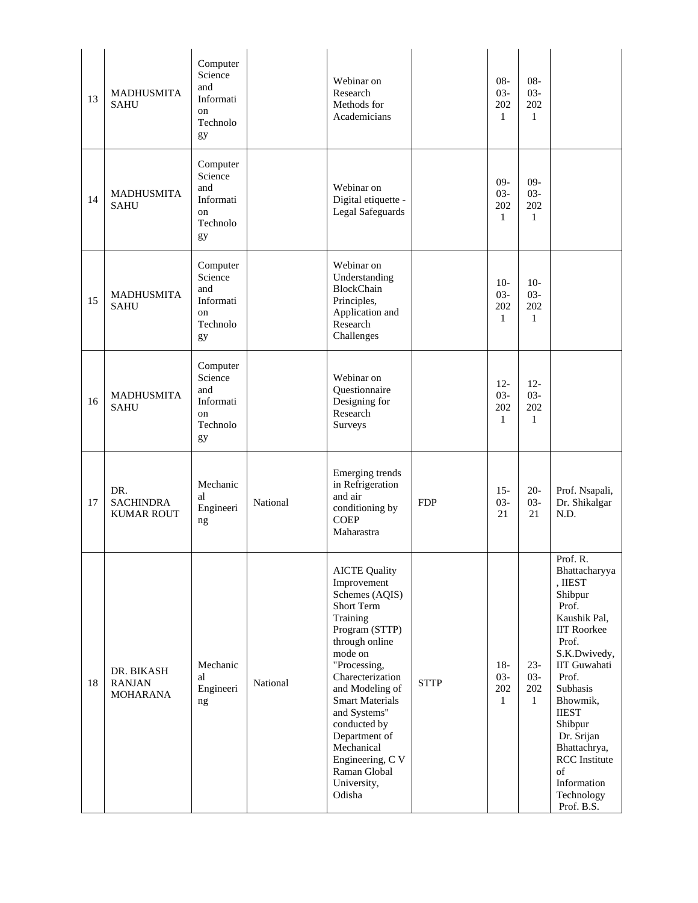| 13 | <b>MADHUSMITA</b><br><b>SAHU</b>               | Computer<br>Science<br>and<br>Informati<br><sub>on</sub><br>Technolo<br>gy |          | Webinar on<br>Research<br>Methods for<br>Academicians                                                                                                                                                                                                                                                                                       |             | $08 -$<br>$03 -$<br>202<br>$\mathbf{1}$ | $08 -$<br>$03 -$<br>202<br>$\mathbf{1}$ |                                                                                                                                                                                                                                                                                                                   |
|----|------------------------------------------------|----------------------------------------------------------------------------|----------|---------------------------------------------------------------------------------------------------------------------------------------------------------------------------------------------------------------------------------------------------------------------------------------------------------------------------------------------|-------------|-----------------------------------------|-----------------------------------------|-------------------------------------------------------------------------------------------------------------------------------------------------------------------------------------------------------------------------------------------------------------------------------------------------------------------|
| 14 | <b>MADHUSMITA</b><br><b>SAHU</b>               | Computer<br>Science<br>and<br>Informati<br>on<br>Technolo<br>gy            |          | Webinar on<br>Digital etiquette -<br>Legal Safeguards                                                                                                                                                                                                                                                                                       |             | $09-$<br>$03 -$<br>202<br>$\mathbf{1}$  | $09-$<br>$03 -$<br>202<br>$\mathbf{1}$  |                                                                                                                                                                                                                                                                                                                   |
| 15 | <b>MADHUSMITA</b><br><b>SAHU</b>               | Computer<br>Science<br>and<br>Informati<br><sub>on</sub><br>Technolo<br>gy |          | Webinar on<br>Understanding<br>BlockChain<br>Principles,<br>Application and<br>Research<br>Challenges                                                                                                                                                                                                                                       |             | $10-$<br>$03 -$<br>202<br>$\mathbf{1}$  | $10-$<br>$03 -$<br>202<br>$\mathbf{1}$  |                                                                                                                                                                                                                                                                                                                   |
| 16 | <b>MADHUSMITA</b><br><b>SAHU</b>               | Computer<br>Science<br>and<br>Informati<br><sub>on</sub><br>Technolo<br>gy |          | Webinar on<br>Questionnaire<br>Designing for<br>Research<br>Surveys                                                                                                                                                                                                                                                                         |             | $12 -$<br>$03 -$<br>202<br>1            | $12 -$<br>$03 -$<br>202<br>1            |                                                                                                                                                                                                                                                                                                                   |
| 17 | DR.<br><b>SACHINDRA</b><br><b>KUMAR ROUT</b>   | Mechanic<br>al<br>Engineeri<br>ng                                          | National | Emerging trends<br>in Refrigeration<br>and air<br>conditioning by<br><b>COEP</b><br>Maharastra                                                                                                                                                                                                                                              | <b>FDP</b>  | $15 -$<br>$03 -$<br>21                  | $20-$<br>$03 -$<br>21                   | Prof. Nsapali,<br>Dr. Shikalgar<br>N.D.                                                                                                                                                                                                                                                                           |
| 18 | DR. BIKASH<br><b>RANJAN</b><br><b>MOHARANA</b> | Mechanic<br>al<br>Engineeri<br>ng                                          | National | <b>AICTE Quality</b><br>Improvement<br>Schemes (AQIS)<br>Short Term<br>Training<br>Program (STTP)<br>through online<br>mode on<br>"Processing,<br>Charecterization<br>and Modeling of<br><b>Smart Materials</b><br>and Systems"<br>conducted by<br>Department of<br>Mechanical<br>Engineering, C V<br>Raman Global<br>University,<br>Odisha | <b>STTP</b> | $18-$<br>$03 -$<br>202<br>$\mathbf{1}$  | $23 -$<br>$03 -$<br>202<br>$\mathbf{1}$ | Prof. R.<br>Bhattacharyya<br>, IIEST<br>Shibpur<br>Prof.<br>Kaushik Pal,<br><b>IIT Roorkee</b><br>Prof.<br>S.K.Dwivedy,<br><b>IIT Guwahati</b><br>Prof.<br>Subhasis<br>Bhowmik,<br><b>IIEST</b><br>Shibpur<br>Dr. Srijan<br>Bhattachrya,<br><b>RCC</b> Institute<br>of<br>Information<br>Technology<br>Prof. B.S. |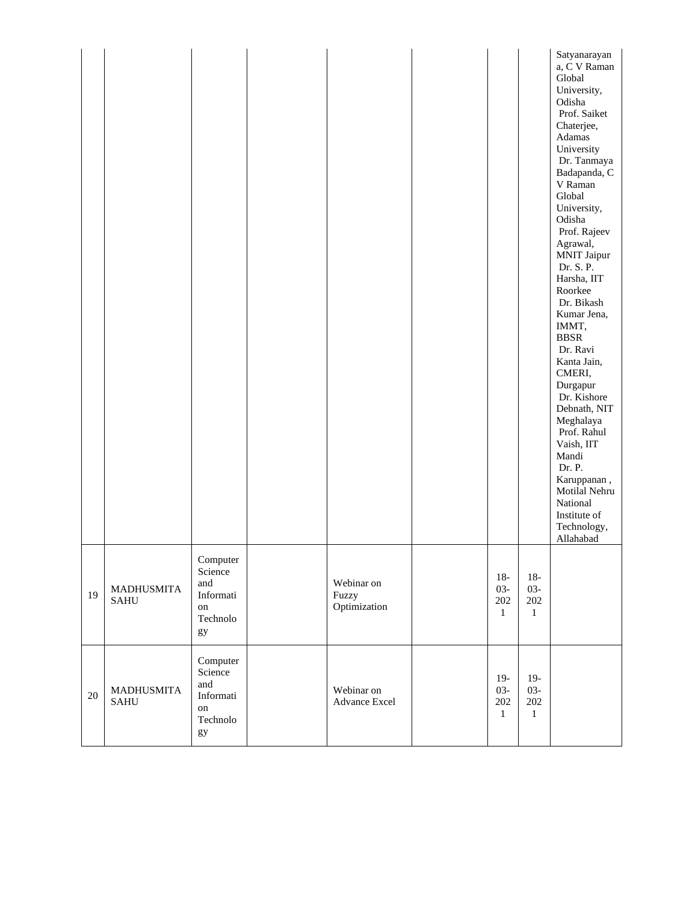|        |                                  |                                                                                |                                     |                                        |                                            | Satyanarayan<br>a, C V Raman<br>Global<br>University,<br>Odisha<br>Prof. Saiket<br>Chaterjee,<br>Adamas<br>University<br>Dr. Tanmaya<br>Badapanda, C<br>V Raman<br>Global<br>University,<br>Odisha<br>Prof. Rajeev<br>Agrawal,<br><b>MNIT Jaipur</b><br>Dr. S. P.<br>Harsha, IIT<br>Roorkee<br>Dr. Bikash<br>Kumar Jena,<br>IMMT,<br><b>BBSR</b><br>Dr. Ravi<br>Kanta Jain,<br>CMERI,<br>Durgapur<br>Dr. Kishore<br>Debnath, NIT<br>Meghalaya<br>Prof. Rahul<br>Vaish, IIT<br>Mandi<br>Dr. P.<br>Karuppanan,<br>Motilal Nehru<br>National<br>Institute of<br>Technology,<br>Allahabad |
|--------|----------------------------------|--------------------------------------------------------------------------------|-------------------------------------|----------------------------------------|--------------------------------------------|---------------------------------------------------------------------------------------------------------------------------------------------------------------------------------------------------------------------------------------------------------------------------------------------------------------------------------------------------------------------------------------------------------------------------------------------------------------------------------------------------------------------------------------------------------------------------------------|
| 19     | <b>MADHUSMITA</b><br><b>SAHU</b> | Computer<br>Science<br>and<br>Informati<br>$^{\rm on}$<br>Technolo<br>gy       | Webinar on<br>Fuzzy<br>Optimization | $18-$<br>$03 -$<br>202<br>$\mathbf{1}$ | $18-$<br>$03 -$<br>$202\,$<br>$\mathbf{1}$ |                                                                                                                                                                                                                                                                                                                                                                                                                                                                                                                                                                                       |
| $20\,$ | <b>MADHUSMITA</b><br><b>SAHU</b> | Computer<br>Science<br>and<br>Informati<br>$^{\rm on}$<br>Technolo<br>$\rm gy$ | Webinar on<br>Advance Excel         | $19-$<br>$03 -$<br>202<br>$\mathbf{1}$ | $19-$<br>$03 -$<br>$202\,$<br>$1\,$        |                                                                                                                                                                                                                                                                                                                                                                                                                                                                                                                                                                                       |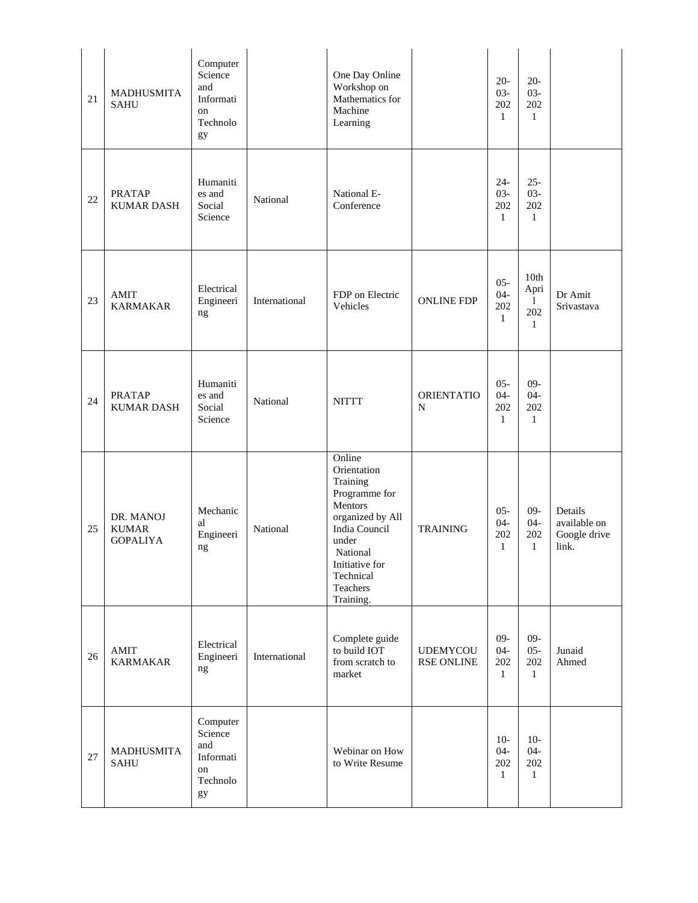| 21 | MADHUSMITA<br><b>SAHU</b>                    | Computer<br>Science<br>and<br>Informati<br>on<br>Technolo<br>gy |               | One Day Online<br>Workshop on<br>Mathematics for<br>Machine<br>Learning                                                                                                         |                                      | $20 -$<br>$03 -$<br>202<br>$\mathbf{1}$ | $20 -$<br>$03 -$<br>202<br>$\mathbf{1}$  |                                                  |
|----|----------------------------------------------|-----------------------------------------------------------------|---------------|---------------------------------------------------------------------------------------------------------------------------------------------------------------------------------|--------------------------------------|-----------------------------------------|------------------------------------------|--------------------------------------------------|
| 22 | <b>PRATAP</b><br><b>KUMAR DASH</b>           | Humaniti<br>es and<br>Social<br>Science                         | National      | National E-<br>Conference                                                                                                                                                       |                                      | 24-<br>$03 -$<br>202<br>1               | $25 -$<br>$03 -$<br>202<br>$\mathbf{1}$  |                                                  |
| 23 | <b>AMIT</b><br><b>KARMAKAR</b>               | Electrical<br>Engineeri<br>$\rm ng$                             | International | FDP on Electric<br>Vehicles                                                                                                                                                     | <b>ONLINE FDP</b>                    | $05 -$<br>$04 -$<br>202<br>$\mathbf{1}$ | 10th<br>Apri<br>1<br>202<br>$\mathbf{1}$ | Dr Amit<br>Srivastava                            |
| 24 | <b>PRATAP</b><br><b>KUMAR DASH</b>           | Humaniti<br>es and<br>Social<br>Science                         | National      | <b>NITTT</b>                                                                                                                                                                    | <b>ORIENTATIO</b><br>N               | $05 -$<br>$04 -$<br>202<br>1            | $09 -$<br>$04 -$<br>202<br>$\mathbf{1}$  |                                                  |
| 25 | DR. MANOJ<br><b>KUMAR</b><br><b>GOPALIYA</b> | Mechanic<br>al<br>Engineeri<br>ng                               | National      | Online<br>Orientation<br>Training<br>Programme for<br>Mentors<br>organized by All<br>India Council<br>under<br>National<br>Initiative for<br>Technical<br>Teachers<br>Training. | <b>TRAINING</b>                      | $05 -$<br>$04 -$<br>202<br>1            | $09-$<br>$04 -$<br>202<br>$\mathbf{1}$   | Details<br>available on<br>Google drive<br>link. |
| 26 | <b>AMIT</b><br><b>KARMAKAR</b>               | Electrical<br>Engineeri<br>ng                                   | International | Complete guide<br>to build IOT<br>from scratch to<br>market                                                                                                                     | <b>UDEMYCOU</b><br><b>RSE ONLINE</b> | $09-$<br>$04 -$<br>202<br>$\mathbf{1}$  | $09-$<br>$05 -$<br>202<br>$\mathbf{1}$   | Junaid<br>Ahmed                                  |
| 27 | MADHUSMITA<br><b>SAHU</b>                    | Computer<br>Science<br>and<br>Informati<br>on<br>Technolo<br>gy |               | Webinar on How<br>to Write Resume                                                                                                                                               |                                      | $10-$<br>$04 -$<br>202<br>$\mathbf{1}$  | $10-$<br>$04 -$<br>202<br>$\mathbf{1}$   |                                                  |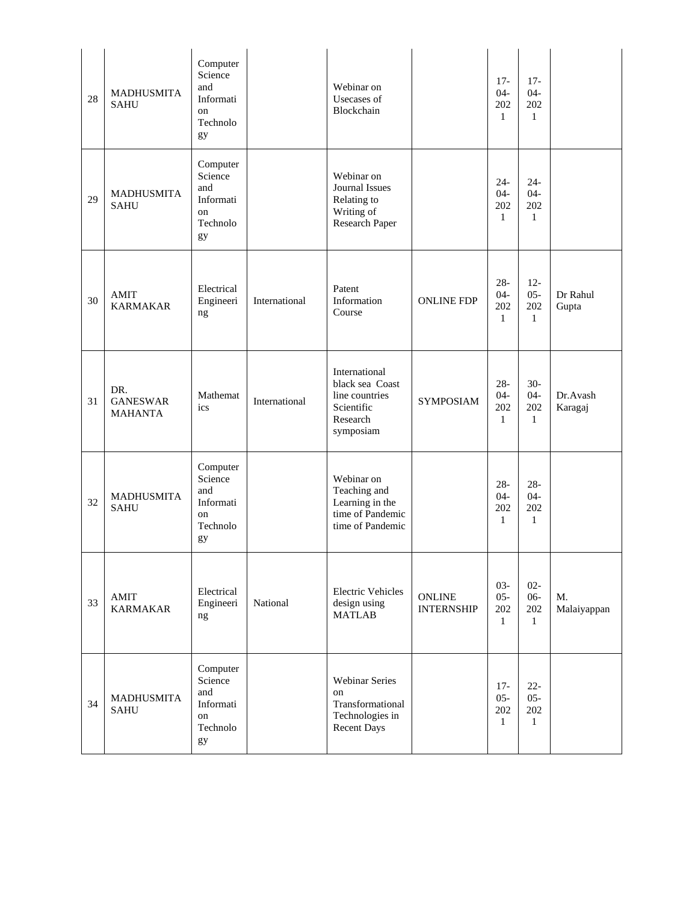| 28 | <b>MADHUSMITA</b><br><b>SAHU</b>         | Computer<br>Science<br>and<br>Informati<br>on<br>Technolo<br>gy |               | Webinar on<br>Usecases of<br>Blockchain                                                   |                                    | $17-$<br>$04 -$<br>202<br>1             | $17-$<br>$04 -$<br>202<br>$\mathbf{1}$  |                     |
|----|------------------------------------------|-----------------------------------------------------------------|---------------|-------------------------------------------------------------------------------------------|------------------------------------|-----------------------------------------|-----------------------------------------|---------------------|
| 29 | <b>MADHUSMITA</b><br><b>SAHU</b>         | Computer<br>Science<br>and<br>Informati<br>on<br>Technolo<br>gy |               | Webinar on<br>Journal Issues<br>Relating to<br>Writing of<br>Research Paper               |                                    | $24-$<br>$04 -$<br>202<br>$\mathbf{1}$  | $24 -$<br>$04 -$<br>202<br>$\mathbf{1}$ |                     |
| 30 | AMIT<br><b>KARMAKAR</b>                  | Electrical<br>Engineeri<br>ng                                   | International | Patent<br>Information<br>Course                                                           | <b>ONLINE FDP</b>                  | $28 -$<br>$04 -$<br>202<br>$\mathbf{1}$ | $12 -$<br>$05 -$<br>202<br>$\mathbf{1}$ | Dr Rahul<br>Gupta   |
| 31 | DR.<br><b>GANESWAR</b><br><b>MAHANTA</b> | Mathemat<br>ics                                                 | International | International<br>black sea Coast<br>line countries<br>Scientific<br>Research<br>symposiam | <b>SYMPOSIAM</b>                   | $28 -$<br>$04 -$<br>202<br>$\mathbf{1}$ | $30-$<br>$04 -$<br>202<br>$\mathbf{1}$  | Dr.Avash<br>Karagaj |
| 32 | <b>MADHUSMITA</b><br><b>SAHU</b>         | Computer<br>Science<br>and<br>Informati<br>on<br>Technolo<br>gy |               | Webinar on<br>Teaching and<br>Learning in the<br>time of Pandemic<br>time of Pandemic     |                                    | $28 -$<br>$04 -$<br>202<br>1            | $28 -$<br>$04 -$<br>202<br>$\mathbf{1}$ |                     |
| 33 | AMIT<br><b>KARMAKAR</b>                  | Electrical<br>Engineeri<br>ng                                   | National      | <b>Electric Vehicles</b><br>design using<br><b>MATLAB</b>                                 | <b>ONLINE</b><br><b>INTERNSHIP</b> | $03 -$<br>$05 -$<br>202<br>$\mathbf{1}$ | $02 -$<br>$06 -$<br>202<br>$\mathbf{1}$ | M.<br>Malaiyappan   |
| 34 | MADHUSMITA<br><b>SAHU</b>                | Computer<br>Science<br>and<br>Informati<br>on<br>Technolo<br>gy |               | <b>Webinar Series</b><br>on<br>Transformational<br>Technologies in<br><b>Recent Days</b>  |                                    | $17-$<br>$05 -$<br>202<br>$\mathbf{1}$  | $22 -$<br>$05 -$<br>202<br>$\mathbf{1}$ |                     |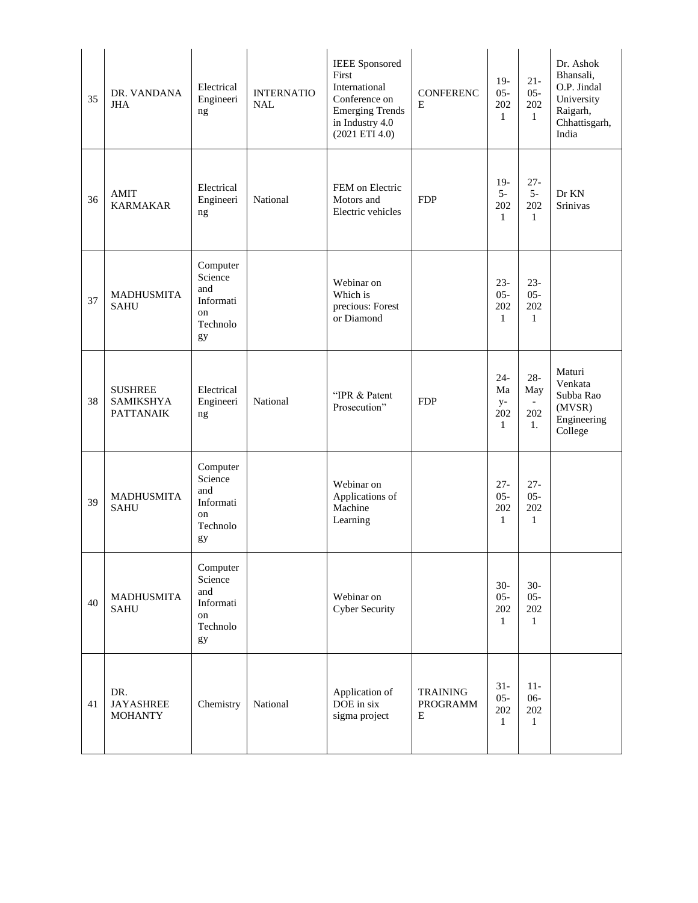| 35 | DR. VANDANA<br><b>JHA</b>                              | Electrical<br>Engineeri<br>ng                                   | <b>INTERNATIO</b><br><b>NAL</b> | <b>IEEE</b> Sponsored<br>First<br>International<br>Conference on<br><b>Emerging Trends</b><br>in Industry 4.0<br>(2021 ETI 4.0) | <b>CONFERENC</b><br>E            | $19-$<br>$05 -$<br>202<br>$\mathbf{1}$      | $21 -$<br>$05 -$<br>202<br>$\mathbf{1}$ | Dr. Ashok<br>Bhansali,<br>O.P. Jindal<br>University<br>Raigarh,<br>Chhattisgarh,<br>India |
|----|--------------------------------------------------------|-----------------------------------------------------------------|---------------------------------|---------------------------------------------------------------------------------------------------------------------------------|----------------------------------|---------------------------------------------|-----------------------------------------|-------------------------------------------------------------------------------------------|
| 36 | AMIT<br><b>KARMAKAR</b>                                | Electrical<br>Engineeri<br>ng                                   | National                        | FEM on Electric<br>Motors and<br>Electric vehicles                                                                              | <b>FDP</b>                       | $19-$<br>$5-$<br>202<br>$\mathbf{1}$        | $27 -$<br>$5-$<br>202<br>$\mathbf{1}$   | Dr KN<br><b>Srinivas</b>                                                                  |
| 37 | <b>MADHUSMITA</b><br><b>SAHU</b>                       | Computer<br>Science<br>and<br>Informati<br>on<br>Technolo<br>gy |                                 | Webinar on<br>Which is<br>precious: Forest<br>or Diamond                                                                        |                                  | $23 -$<br>$05 -$<br>202<br>$\mathbf{1}$     | $23 -$<br>$05 -$<br>202<br>$\mathbf{1}$ |                                                                                           |
| 38 | <b>SUSHREE</b><br><b>SAMIKSHYA</b><br><b>PATTANAIK</b> | Electrical<br>Engineeri<br>ng                                   | National                        | "IPR & Patent<br>Prosecution"                                                                                                   | <b>FDP</b>                       | $24 -$<br>Ma<br>$y-$<br>202<br>$\mathbf{1}$ | $28 -$<br>May<br>202<br>1.              | Maturi<br>Venkata<br>Subba Rao<br>(MVSR)<br>Engineering<br>College                        |
| 39 | <b>MADHUSMITA</b><br><b>SAHU</b>                       | Computer<br>Science<br>and<br>Informati<br>on<br>Technolo<br>gy |                                 | Webinar on<br>Applications of<br>Machine<br>Learning                                                                            |                                  | $27 -$<br>$05 -$<br>202<br>$\mathbf{1}$     | $27 -$<br>$05 -$<br>202<br>$\mathbf{1}$ |                                                                                           |
| 40 | <b>MADHUSMITA</b><br><b>SAHU</b>                       | Computer<br>Science<br>and<br>Informati<br>on<br>Technolo<br>gy |                                 | Webinar on<br>Cyber Security                                                                                                    |                                  | $30-$<br>$05 -$<br>202<br>$\mathbf{1}$      | $30-$<br>$05 -$<br>202<br>$\mathbf{1}$  |                                                                                           |
| 41 | DR.<br><b>JAYASHREE</b><br><b>MOHANTY</b>              | Chemistry                                                       | National                        | Application of<br>DOE in six<br>sigma project                                                                                   | <b>TRAINING</b><br>PROGRAMM<br>E | $31-$<br>$05 -$<br>202<br>$\mathbf{1}$      | $11-$<br>$06 -$<br>202<br>$\mathbf{1}$  |                                                                                           |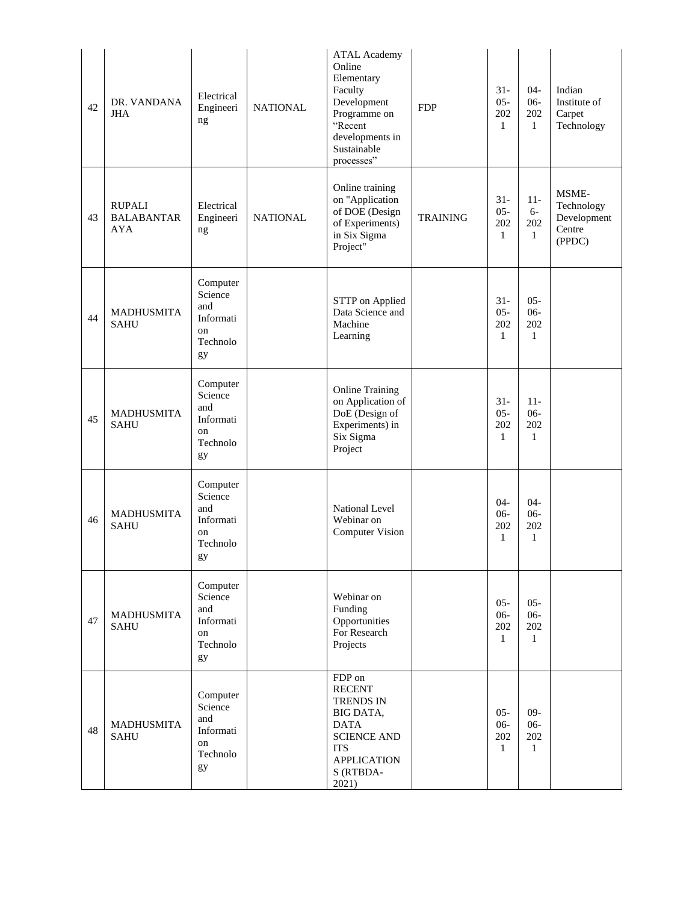| 42 | DR. VANDANA<br><b>JHA</b>                        | Electrical<br>Engineeri<br>ng                                   | <b>NATIONAL</b> | <b>ATAL Academy</b><br>Online<br>Elementary<br>Faculty<br>Development<br>Programme on<br>"Recent<br>developments in<br>Sustainable<br>processes" | <b>FDP</b>      | $31-$<br>$05 -$<br>202<br>1             | $04 -$<br>$06-$<br>202<br>$\mathbf{1}$  | Indian<br>Institute of<br>Carpet<br>Technology         |
|----|--------------------------------------------------|-----------------------------------------------------------------|-----------------|--------------------------------------------------------------------------------------------------------------------------------------------------|-----------------|-----------------------------------------|-----------------------------------------|--------------------------------------------------------|
| 43 | <b>RUPALI</b><br><b>BALABANTAR</b><br><b>AYA</b> | Electrical<br>Engineeri<br>ng                                   | <b>NATIONAL</b> | Online training<br>on "Application<br>of DOE (Design<br>of Experiments)<br>in Six Sigma<br>Project"                                              | <b>TRAINING</b> | $31 -$<br>$05 -$<br>202<br>1            | $11-$<br>$6-$<br>202<br>$\mathbf{1}$    | MSME-<br>Technology<br>Development<br>Centre<br>(PPDC) |
| 44 | <b>MADHUSMITA</b><br><b>SAHU</b>                 | Computer<br>Science<br>and<br>Informati<br>on<br>Technolo<br>gy |                 | <b>STTP</b> on Applied<br>Data Science and<br>Machine<br>Learning                                                                                |                 | $31 -$<br>$05 -$<br>202<br>1            | $05 -$<br>$06 -$<br>202<br>$\mathbf{1}$ |                                                        |
| 45 | <b>MADHUSMITA</b><br><b>SAHU</b>                 | Computer<br>Science<br>and<br>Informati<br>on<br>Technolo<br>gy |                 | <b>Online Training</b><br>on Application of<br>DoE (Design of<br>Experiments) in<br>Six Sigma<br>Project                                         |                 | $31-$<br>$05 -$<br>202<br>$\mathbf{1}$  | $11-$<br>$06 -$<br>202<br>$\mathbf{1}$  |                                                        |
| 46 | <b>MADHUSMITA</b><br><b>SAHU</b>                 | Computer<br>Science<br>and<br>Informati<br>on<br>Technolo<br>gy |                 | <b>National Level</b><br>Webinar on<br><b>Computer Vision</b>                                                                                    |                 | $04 -$<br>$06-$<br>202<br>$\mathbf{1}$  | $04 -$<br>$06 -$<br>202<br>$\mathbf{1}$ |                                                        |
| 47 | MADHUSMITA<br><b>SAHU</b>                        | Computer<br>Science<br>and<br>Informati<br>on<br>Technolo<br>gy |                 | Webinar on<br>Funding<br>Opportunities<br>For Research<br>Projects                                                                               |                 | $05 -$<br>$06 -$<br>202<br>$\mathbf{1}$ | $05 -$<br>$06 -$<br>202<br>$\mathbf{1}$ |                                                        |
| 48 | MADHUSMITA<br><b>SAHU</b>                        | Computer<br>Science<br>and<br>Informati<br>on<br>Technolo<br>gy |                 | FDP on<br><b>RECENT</b><br>TRENDS IN<br>BIG DATA,<br><b>DATA</b><br><b>SCIENCE AND</b><br><b>ITS</b><br><b>APPLICATION</b><br>S (RTBDA-<br>2021) |                 | $05 -$<br>$06 -$<br>202<br>1            | $09 -$<br>$06 -$<br>202<br>$\mathbf{1}$ |                                                        |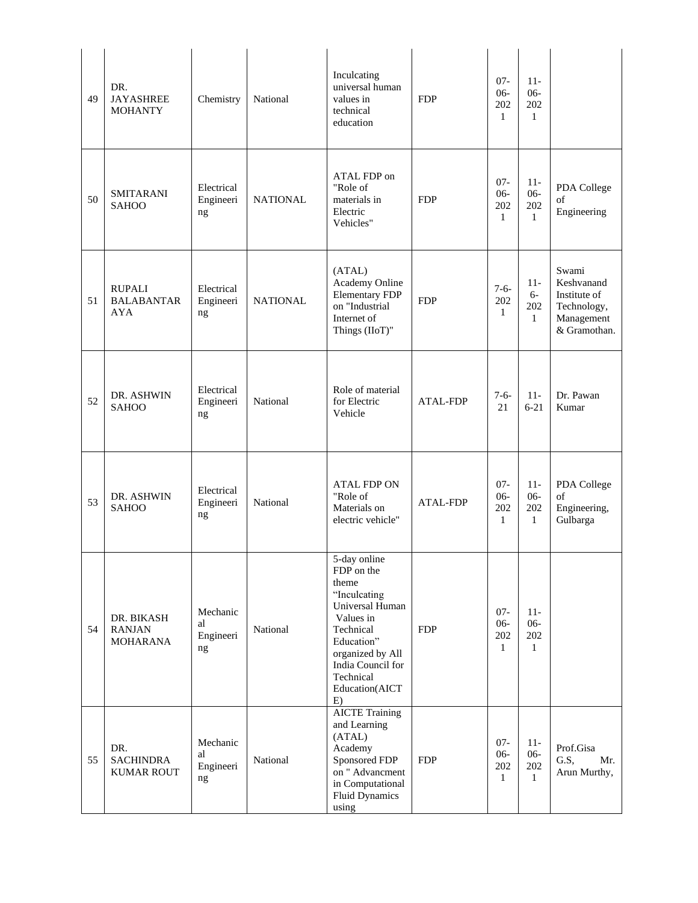| 49 | DR.<br><b>JAYASHREE</b><br><b>MOHANTY</b>        | Chemistry                         | National        | Inculcating<br>universal human<br>values in<br>technical<br>education                                                                                                                        | <b>FDP</b>      | $07 -$<br>$06-$<br>202<br>$\mathbf{1}$  | $11 -$<br>$06 -$<br>202<br>$\mathbf{1}$ |                                                                                  |
|----|--------------------------------------------------|-----------------------------------|-----------------|----------------------------------------------------------------------------------------------------------------------------------------------------------------------------------------------|-----------------|-----------------------------------------|-----------------------------------------|----------------------------------------------------------------------------------|
| 50 | <b>SMITARANI</b><br><b>SAHOO</b>                 | Electrical<br>Engineeri<br>ng     | <b>NATIONAL</b> | ATAL FDP on<br>"Role of<br>materials in<br>Electric<br>Vehicles"                                                                                                                             | <b>FDP</b>      | $07 -$<br>$06 -$<br>202<br>$\mathbf{1}$ | $11-$<br>$06 -$<br>202<br>$\mathbf{1}$  | PDA College<br>οf<br>Engineering                                                 |
| 51 | <b>RUPALI</b><br><b>BALABANTAR</b><br><b>AYA</b> | Electrical<br>Engineeri<br>ng     | <b>NATIONAL</b> | (ATAL)<br>Academy Online<br><b>Elementary FDP</b><br>on "Industrial<br>Internet of<br>Things (IIoT)"                                                                                         | <b>FDP</b>      | $7-6-$<br>202<br>$\mathbf{1}$           | $11 -$<br>$6-$<br>202<br>$\mathbf{1}$   | Swami<br>Keshvanand<br>Institute of<br>Technology,<br>Management<br>& Gramothan. |
| 52 | DR. ASHWIN<br><b>SAHOO</b>                       | Electrical<br>Engineeri<br>ng     | National        | Role of material<br>for Electric<br>Vehicle                                                                                                                                                  | <b>ATAL-FDP</b> | $7-6-$<br>21                            | $11-$<br>$6 - 21$                       | Dr. Pawan<br>Kumar                                                               |
| 53 | DR. ASHWIN<br><b>SAHOO</b>                       | Electrical<br>Engineeri<br>ng     | National        | <b>ATAL FDP ON</b><br>"Role of<br>Materials on<br>electric vehicle"                                                                                                                          | <b>ATAL-FDP</b> | $07 -$<br>$06-$<br>202<br>$\mathbf{1}$  | $11-$<br>$06 -$<br>202<br>$\mathbf{1}$  | PDA College<br>of<br>Engineering,<br>Gulbarga                                    |
| 54 | DR. BIKASH<br><b>RANJAN</b><br><b>MOHARANA</b>   | Mechanic<br>al<br>Engineeri<br>ng | National        | 5-day online<br>FDP on the<br>theme<br>"Inculcating<br>Universal Human<br>Values in<br>Technical<br>Education"<br>organized by All<br>India Council for<br>Technical<br>Education(AICT<br>E) | <b>FDP</b>      | $07 -$<br>$06 -$<br>202<br>1            | $11-$<br>$06 -$<br>202<br>$\mathbf{1}$  |                                                                                  |
| 55 | DR.<br><b>SACHINDRA</b><br><b>KUMAR ROUT</b>     | Mechanic<br>al<br>Engineeri<br>ng | National        | <b>AICTE Training</b><br>and Learning<br>(ATAL)<br>Academy<br>Sponsored FDP<br>on " Advancment<br>in Computational<br><b>Fluid Dynamics</b><br>using                                         | <b>FDP</b>      | $07 -$<br>$06 -$<br>202<br>$\mathbf{1}$ | $11-$<br>$06-$<br>202<br>1              | Prof.Gisa<br>G.S,<br>Mr.<br>Arun Murthy,                                         |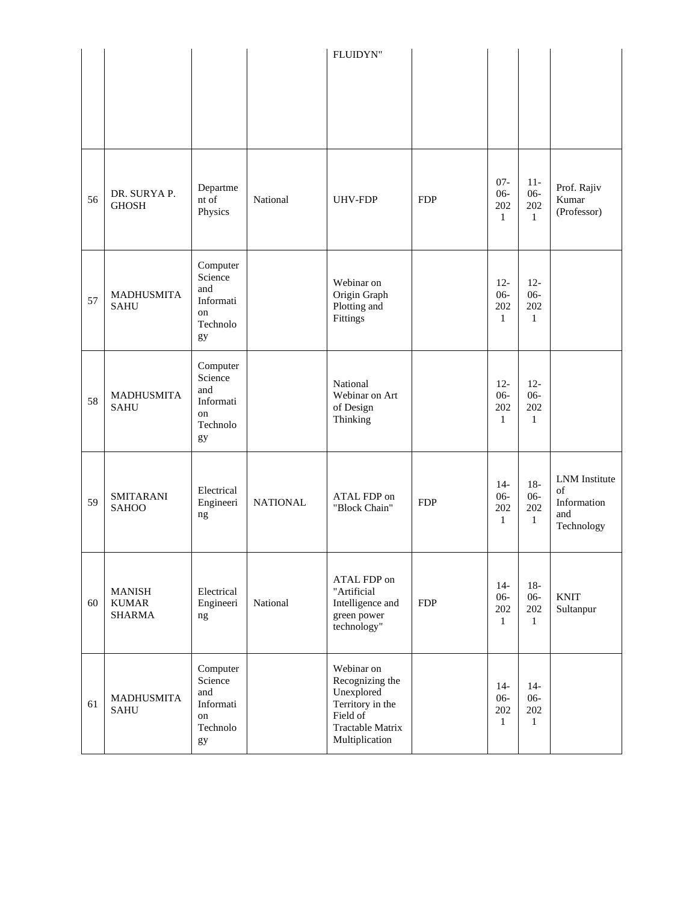|    |                                                |                                                                 |                 | FLUIDYN"                                                                                                          |            |                                         |                                         |                                                         |
|----|------------------------------------------------|-----------------------------------------------------------------|-----------------|-------------------------------------------------------------------------------------------------------------------|------------|-----------------------------------------|-----------------------------------------|---------------------------------------------------------|
| 56 | DR. SURYA P.<br><b>GHOSH</b>                   | Departme<br>nt of<br>Physics                                    | National        | <b>UHV-FDP</b>                                                                                                    | <b>FDP</b> | $07 -$<br>$06 -$<br>202<br>$\mathbf{1}$ | $11-$<br>$06 -$<br>202<br>$\mathbf{1}$  | Prof. Rajiv<br>Kumar<br>(Professor)                     |
| 57 | <b>MADHUSMITA</b><br><b>SAHU</b>               | Computer<br>Science<br>and<br>Informati<br>on<br>Technolo<br>gy |                 | Webinar on<br>Origin Graph<br>Plotting and<br>Fittings                                                            |            | $12 -$<br>$06 -$<br>202<br>1            | $12 -$<br>$06 -$<br>202<br>$\mathbf{1}$ |                                                         |
| 58 | <b>MADHUSMITA</b><br><b>SAHU</b>               | Computer<br>Science<br>and<br>Informati<br>on<br>Technolo<br>gy |                 | National<br>Webinar on Art<br>of Design<br>Thinking                                                               |            | $12 -$<br>$06 -$<br>202<br>$\mathbf{1}$ | $12 -$<br>$06 -$<br>202<br>$\mathbf{1}$ |                                                         |
| 59 | <b>SMITARANI</b><br><b>SAHOO</b>               | Electrical<br>Engineeri<br>ng                                   | <b>NATIONAL</b> | ATAL FDP on<br>"Block Chain"                                                                                      | <b>FDP</b> | $14-$<br>$06 -$<br>202<br>$\mathbf{1}$  | $18-$<br>$06 -$<br>202<br>$\mathbf{1}$  | LNM Institute<br>of<br>Information<br>and<br>Technology |
| 60 | <b>MANISH</b><br><b>KUMAR</b><br><b>SHARMA</b> | Electrical<br>Engineeri<br>ng                                   | National        | ATAL FDP on<br>"Artificial<br>Intelligence and<br>green power<br>technology"                                      | <b>FDP</b> | $14-$<br>$06 -$<br>202<br>$\mathbf{1}$  | $18-$<br>$06-$<br>202<br>$\mathbf{1}$   | <b>KNIT</b><br>Sultanpur                                |
| 61 | <b>MADHUSMITA</b><br><b>SAHU</b>               | Computer<br>Science<br>and<br>Informati<br>on<br>Technolo<br>gy |                 | Webinar on<br>Recognizing the<br>Unexplored<br>Territory in the<br>Field of<br>Tractable Matrix<br>Multiplication |            | $14-$<br>$06 -$<br>202<br>1             | $14-$<br>$06 -$<br>202<br>$\mathbf{1}$  |                                                         |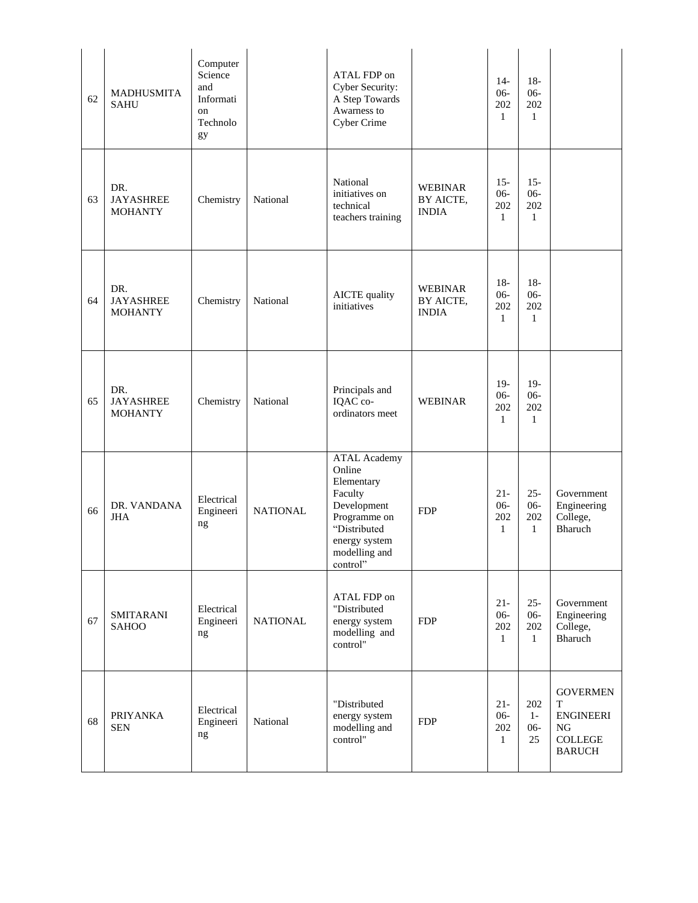| 62 | <b>MADHUSMITA</b><br><b>SAHU</b>          | Computer<br>Science<br>and<br>Informati<br>on<br>Technolo<br>gy |                 | ATAL FDP on<br>Cyber Security:<br>A Step Towards<br>Awarness to<br><b>Cyber Crime</b>                                                               |                                             | $14-$<br>$06 -$<br>202<br>$\mathbf{1}$  | $18-$<br>$06 -$<br>202<br>$\mathbf{1}$  |                                                                                          |
|----|-------------------------------------------|-----------------------------------------------------------------|-----------------|-----------------------------------------------------------------------------------------------------------------------------------------------------|---------------------------------------------|-----------------------------------------|-----------------------------------------|------------------------------------------------------------------------------------------|
| 63 | DR.<br><b>JAYASHREE</b><br><b>MOHANTY</b> | Chemistry                                                       | National        | National<br>initiatives on<br>technical<br>teachers training                                                                                        | <b>WEBINAR</b><br>BY AICTE,<br><b>INDIA</b> | $15 -$<br>$06-$<br>202<br>$\mathbf{1}$  | $15 -$<br>$06 -$<br>202<br>$\mathbf{1}$ |                                                                                          |
| 64 | DR.<br><b>JAYASHREE</b><br><b>MOHANTY</b> | Chemistry                                                       | National        | <b>AICTE</b> quality<br>initiatives                                                                                                                 | <b>WEBINAR</b><br>BY AICTE,<br><b>INDIA</b> | $18-$<br>$06 -$<br>202<br>$\mathbf{1}$  | $18-$<br>$06 -$<br>202<br>$\mathbf{1}$  |                                                                                          |
| 65 | DR.<br><b>JAYASHREE</b><br><b>MOHANTY</b> | Chemistry                                                       | National        | Principals and<br>IQAC co-<br>ordinators meet                                                                                                       | <b>WEBINAR</b>                              | $19-$<br>$06 -$<br>202<br>1             | $19-$<br>$06 -$<br>202<br>$\mathbf{1}$  |                                                                                          |
| 66 | DR. VANDANA<br><b>JHA</b>                 | Electrical<br>Engineeri<br>ng                                   | <b>NATIONAL</b> | <b>ATAL Academy</b><br>Online<br>Elementary<br>Faculty<br>Development<br>Programme on<br>"Distributed<br>energy system<br>modelling and<br>control" | <b>FDP</b>                                  | $21 -$<br>$06 -$<br>202<br>1            | $25 -$<br>$06 -$<br>202<br>$\mathbf{1}$ | Government<br>Engineering<br>College,<br>Bharuch                                         |
| 67 | <b>SMITARANI</b><br><b>SAHOO</b>          | Electrical<br>Engineeri<br>ng                                   | <b>NATIONAL</b> | ATAL FDP on<br>"Distributed<br>energy system<br>modelling and<br>control"                                                                           | <b>FDP</b>                                  | $21 -$<br>$06 -$<br>202<br>$\mathbf{1}$ | $25 -$<br>$06 -$<br>202<br>$\mathbf{1}$ | Government<br>Engineering<br>College,<br>Bharuch                                         |
| 68 | <b>PRIYANKA</b><br><b>SEN</b>             | Electrical<br>Engineeri<br>ng                                   | National        | "Distributed<br>energy system<br>modelling and<br>control"                                                                                          | <b>FDP</b>                                  | $21 -$<br>$06 -$<br>202<br>$\mathbf{1}$ | 202<br>$1-$<br>$06 -$<br>25             | <b>GOVERMEN</b><br>T<br><b>ENGINEERI</b><br><b>NG</b><br><b>COLLEGE</b><br><b>BARUCH</b> |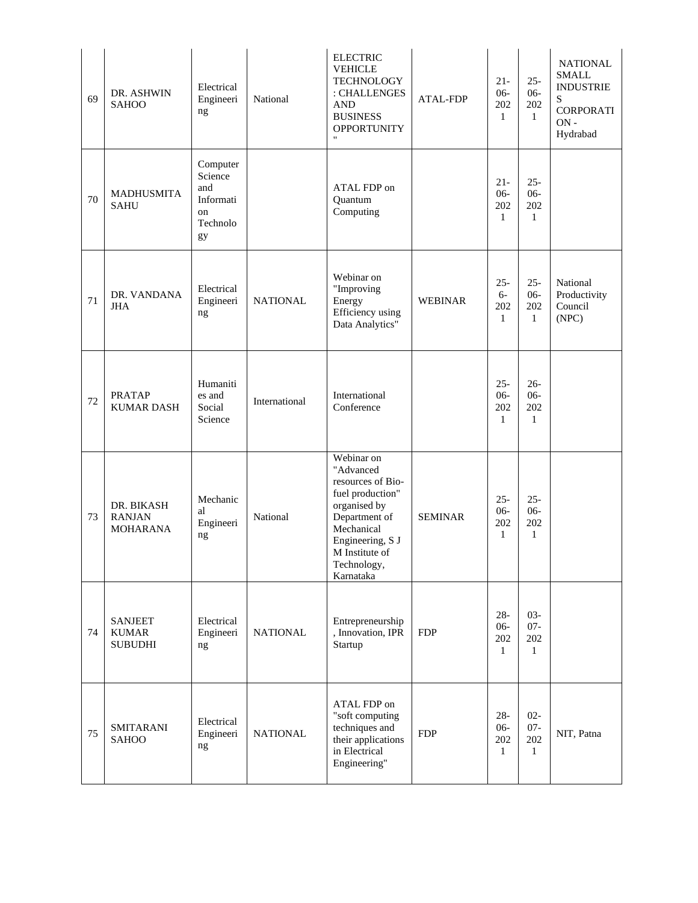| 69 | DR. ASHWIN<br><b>SAHOO</b>                       | Electrical<br>Engineeri<br>ng                                   | National        | <b>ELECTRIC</b><br><b>VEHICLE</b><br><b>TECHNOLOGY</b><br>: CHALLENGES<br><b>AND</b><br><b>BUSINESS</b><br><b>OPPORTUNITY</b><br>$\pmb{\mathsf{H}}$                               | <b>ATAL-FDP</b> | $21 -$<br>$06 -$<br>202<br>$\mathbf{1}$ | $25 -$<br>$06 -$<br>202<br>$\mathbf{1}$ | <b>NATIONAL</b><br><b>SMALL</b><br><b>INDUSTRIE</b><br>S<br><b>CORPORATI</b><br>$ON -$<br>Hydrabad |
|----|--------------------------------------------------|-----------------------------------------------------------------|-----------------|-----------------------------------------------------------------------------------------------------------------------------------------------------------------------------------|-----------------|-----------------------------------------|-----------------------------------------|----------------------------------------------------------------------------------------------------|
| 70 | <b>MADHUSMITA</b><br><b>SAHU</b>                 | Computer<br>Science<br>and<br>Informati<br>on<br>Technolo<br>gy |                 | ATAL FDP on<br>Quantum<br>Computing                                                                                                                                               |                 | $21 -$<br>$06 -$<br>202<br>$\mathbf{1}$ | $25 -$<br>$06 -$<br>202<br>$\mathbf{1}$ |                                                                                                    |
| 71 | DR. VANDANA<br><b>JHA</b>                        | Electrical<br>Engineeri<br>ng                                   | <b>NATIONAL</b> | Webinar on<br>"Improving<br>Energy<br><b>Efficiency</b> using<br>Data Analytics"                                                                                                  | WEBINAR         | $25 -$<br>$6-$<br>202<br>$\mathbf{1}$   | $25 -$<br>$06 -$<br>202<br>$\mathbf{1}$ | National<br>Productivity<br>Council<br>(NPC)                                                       |
| 72 | <b>PRATAP</b><br><b>KUMAR DASH</b>               | Humaniti<br>es and<br>Social<br>Science                         | International   | International<br>Conference                                                                                                                                                       |                 | $25 -$<br>$06 -$<br>202<br>1            | $26 -$<br>$06 -$<br>202<br>1            |                                                                                                    |
| 73 | DR. BIKASH<br><b>RANJAN</b><br><b>MOHARANA</b>   | Mechanic<br>al<br>Engineeri<br>ng                               | National        | Webinar on<br>"Advanced<br>resources of Bio-<br>fuel production"<br>organised by<br>Department of<br>Mechanical<br>Engineering, S J<br>M Institute of<br>Technology,<br>Karnataka | <b>SEMINAR</b>  | $25 -$<br>$06 -$<br>202<br>1            | $25 -$<br>$06 -$<br>202<br>$\mathbf{1}$ |                                                                                                    |
| 74 | <b>SANJEET</b><br><b>KUMAR</b><br><b>SUBUDHI</b> | Electrical<br>Engineeri<br>ng                                   | <b>NATIONAL</b> | Entrepreneurship<br>, Innovation, IPR<br>Startup                                                                                                                                  | <b>FDP</b>      | $28 -$<br>$06 -$<br>202<br>$\mathbf{1}$ | $03 -$<br>$07 -$<br>202<br>$\mathbf{1}$ |                                                                                                    |
| 75 | <b>SMITARANI</b><br><b>SAHOO</b>                 | Electrical<br>Engineeri<br>ng                                   | <b>NATIONAL</b> | ATAL FDP on<br>"soft computing<br>techniques and<br>their applications<br>in Electrical<br>Engineering"                                                                           | <b>FDP</b>      | $28 -$<br>$06-$<br>202<br>$\mathbf{1}$  | $02 -$<br>$07 -$<br>202<br>$\mathbf{1}$ | NIT, Patna                                                                                         |